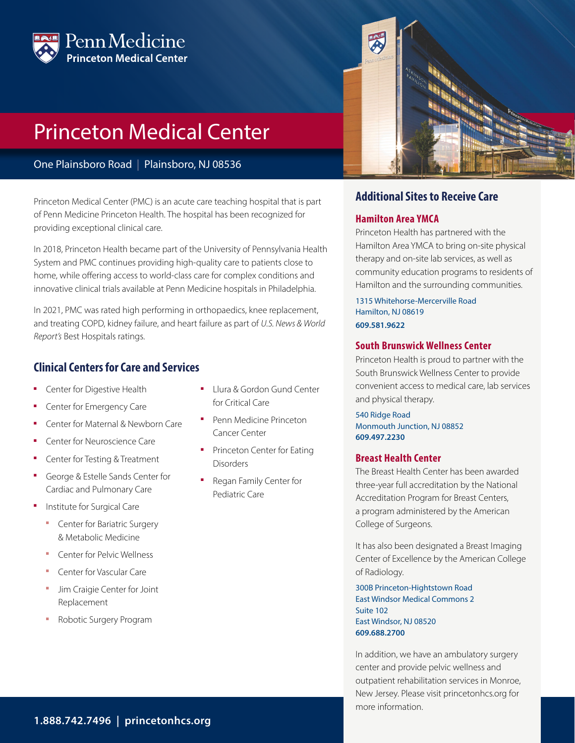

# Princeton Medical Center

One Plainsboro Road | Plainsboro, NJ 08536

Princeton Medical Center (PMC) is an acute care teaching hospital that is part of Penn Medicine Princeton Health. The hospital has been recognized for providing exceptional clinical care.

In 2018, Princeton Health became part of the University of Pennsylvania Health System and PMC continues providing high-quality care to patients close to home, while offering access to world-class care for complex conditions and innovative clinical trials available at Penn Medicine hospitals in Philadelphia.

In 2021, PMC was rated high performing in orthopaedics, knee replacement, and treating COPD, kidney failure, and heart failure as part of *U.S. News & World Report's* Best Hospitals ratings.

## **Clinical Centers for Care and Services**

- Center for Digestive Health
- Center for Emergency Care
- Center for Maternal & Newborn Care
- Center for Neuroscience Care
- Center for Testing & Treatment
- George & Estelle Sands Center for Cardiac and Pulmonary Care
- Institute for Surgical Care
	- **Center for Bariatric Surgery** & Metabolic Medicine
	- Center for Pelvic Wellness
	- Center for Vascular Care
	- Jim Craigie Center for Joint Replacement
	- Robotic Surgery Program
- Llura & Gordon Gund Center for Critical Care
- Penn Medicine Princeton Cancer Center
- Princeton Center for Eating **Disorders**
- Regan Family Center for Pediatric Care



## **Additional Sites to Receive Care**

#### **Hamilton Area YMCA**

Princeton Health has partnered with the Hamilton Area YMCA to bring on-site physical therapy and on-site lab services, as well as community education programs to residents of Hamilton and the surrounding communities.

1315 Whitehorse-Mercerville Road Hamilton, NJ 08619 **609.581.9622**

#### **South Brunswick Wellness Center**

Princeton Health is proud to partner with the South Brunswick Wellness Center to provide convenient access to medical care, lab services and physical therapy.

540 Ridge Road Monmouth Junction, NJ 08852 **609.497.2230**

#### **Breast Health Center**

The Breast Health Center has been awarded three-year full accreditation by the National Accreditation Program for Breast Centers, a program administered by the American College of Surgeons.

It has also been designated a Breast Imaging Center of Excellence by the American College of Radiology.

300B Princeton-Hightstown Road East Windsor Medical Commons 2 Suite 102 East Windsor, NJ 08520 **609.688.2700**

In addition, we have an ambulatory surgery center and provide pelvic wellness and outpatient rehabilitation services in Monroe, New Jersey. Please visit princetonhcs.org for more information.